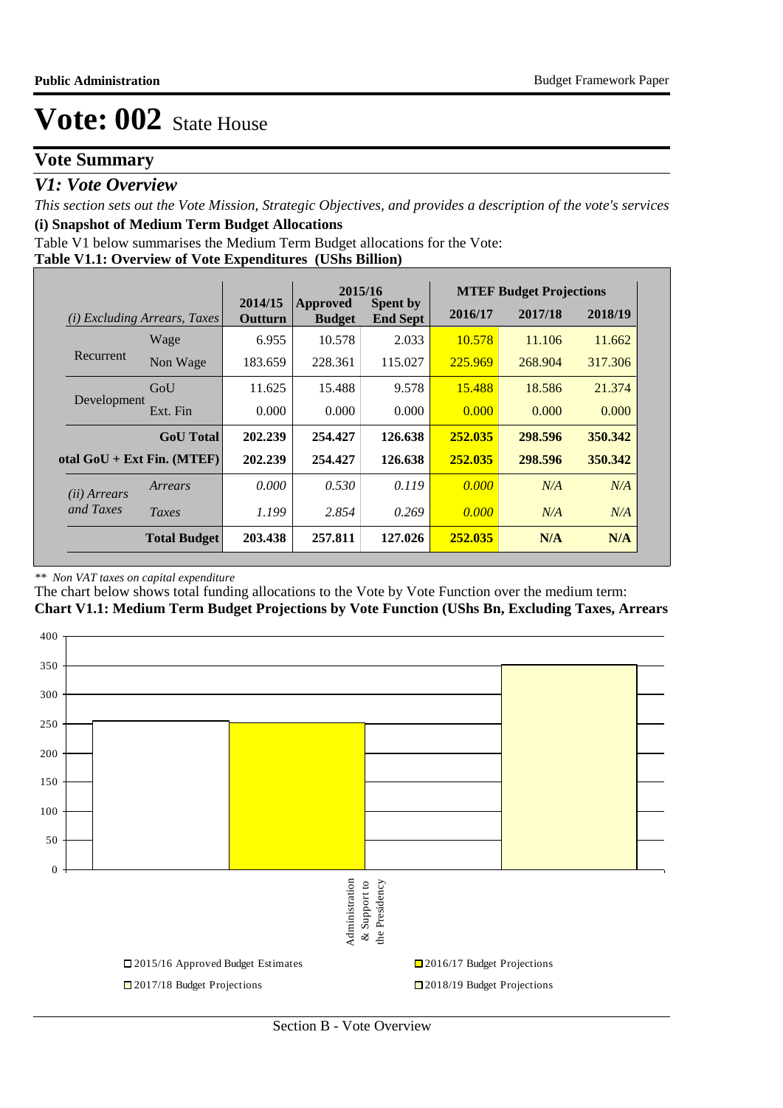# **Vote Summary**

## *V1: Vote Overview*

*This section sets out the Vote Mission, Strategic Objectives, and provides a description of the vote's services* **(i) Snapshot of Medium Term Budget Allocations** 

Table V1 below summarises the Medium Term Budget allocations for the Vote:

## **Table V1.1: Overview of Vote Expenditures (UShs Billion)**

|                       |                                 |                    | 2015/16                          |                                    |         | <b>MTEF Budget Projections</b> |         |
|-----------------------|---------------------------------|--------------------|----------------------------------|------------------------------------|---------|--------------------------------|---------|
| (i)                   | <i>Excluding Arrears, Taxes</i> | 2014/15<br>Outturn | <b>Approved</b><br><b>Budget</b> | <b>Spent by</b><br><b>End Sept</b> | 2016/17 | 2017/18                        | 2018/19 |
|                       | Wage                            | 6.955              | 10.578                           | 2.033                              | 10.578  | 11.106                         | 11.662  |
| Recurrent             | Non Wage                        | 183.659            | 228.361                          | 115.027                            | 225.969 | 268.904                        | 317.306 |
|                       | GoU                             | 11.625             | 15.488                           | 9.578                              | 15.488  | 18.586                         | 21.374  |
| Development           | Ext. Fin                        | 0.000              | 0.000                            | 0.000                              | 0.000   | 0.000                          | 0.000   |
|                       | <b>GoU</b> Total                | 202.239            | 254.427                          | 126.638                            | 252.035 | 298.596                        | 350.342 |
|                       | otal $GoU + Ext Fin. (MTEF)$    | 202.239            | 254.427                          | 126.638                            | 252.035 | 298.596                        | 350.342 |
| ( <i>ii</i> ) Arrears | Arrears                         | 0.000              | 0.530                            | 0.119                              | 0.000   | N/A                            | N/A     |
| and Taxes             | Taxes                           | 1.199              | 2.854                            | 0.269                              | 0.000   | N/A                            | N/A     |
|                       | <b>Total Budget</b>             | 203.438            | 257.811                          | 127.026                            | 252.035 | N/A                            | N/A     |

#### *\*\* Non VAT taxes on capital expenditure*

The chart below shows total funding allocations to the Vote by Vote Function over the medium term: **Chart V1.1: Medium Term Budget Projections by Vote Function (UShs Bn, Excluding Taxes, Arrears**

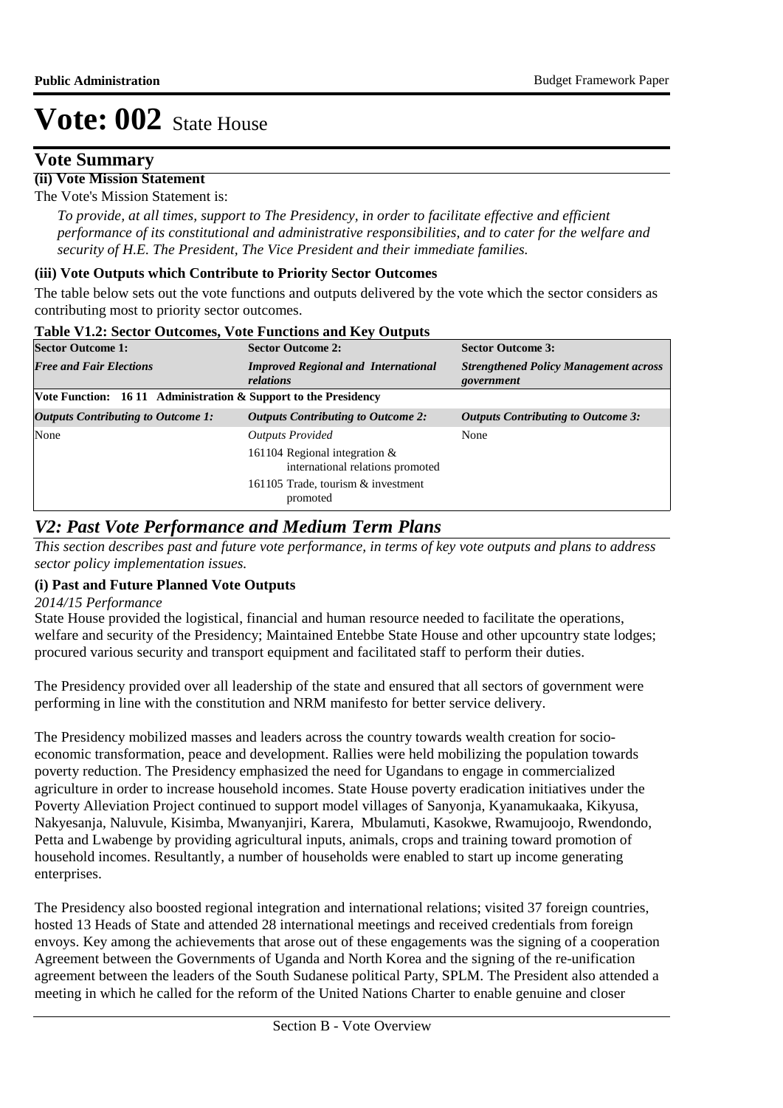## **Vote Summary**

## **(ii) Vote Mission Statement**

The Vote's Mission Statement is:

*To provide, at all times, support to The Presidency, in order to facilitate effective and efficient performance of its constitutional and administrative responsibilities, and to cater for the welfare and security of H.E. The President, The Vice President and their immediate families.*

### **(iii) Vote Outputs which Contribute to Priority Sector Outcomes**

The table below sets out the vote functions and outputs delivered by the vote which the sector considers as contributing most to priority sector outcomes.

| <b>Sector Outcome 1:</b>                                        | <b>Sector Outcome 2:</b>                                             | <b>Sector Outcome 3:</b>                                   |  |  |  |  |
|-----------------------------------------------------------------|----------------------------------------------------------------------|------------------------------------------------------------|--|--|--|--|
| <b>Free and Fair Elections</b>                                  | <b>Improved Regional and International</b><br>relations              | <b>Strengthened Policy Management across</b><br>government |  |  |  |  |
| Vote Function: 16 11 Administration & Support to the Presidency |                                                                      |                                                            |  |  |  |  |
| <b>Outputs Contributing to Outcome 1:</b>                       | <b>Outputs Contributing to Outcome 2:</b>                            | <b>Outputs Contributing to Outcome 3:</b>                  |  |  |  |  |
| None                                                            | <b>Outputs Provided</b>                                              | None                                                       |  |  |  |  |
|                                                                 | 161104 Regional integration $\&$<br>international relations promoted |                                                            |  |  |  |  |
|                                                                 | 161105 Trade, tourism & investment<br>promoted                       |                                                            |  |  |  |  |

#### **Table V1.2: Sector Outcomes, Vote Functions and Key Outputs**

# *V2: Past Vote Performance and Medium Term Plans*

*This section describes past and future vote performance, in terms of key vote outputs and plans to address sector policy implementation issues.* 

## **(i) Past and Future Planned Vote Outputs**

#### *2014/15 Performance*

State House provided the logistical, financial and human resource needed to facilitate the operations, welfare and security of the Presidency; Maintained Entebbe State House and other upcountry state lodges; procured various security and transport equipment and facilitated staff to perform their duties.

The Presidency provided over all leadership of the state and ensured that all sectors of government were performing in line with the constitution and NRM manifesto for better service delivery.

The Presidency mobilized masses and leaders across the country towards wealth creation for socioeconomic transformation, peace and development. Rallies were held mobilizing the population towards poverty reduction. The Presidency emphasized the need for Ugandans to engage in commercialized agriculture in order to increase household incomes. State House poverty eradication initiatives under the Poverty Alleviation Project continued to support model villages of Sanyonja, Kyanamukaaka, Kikyusa, Nakyesanja, Naluvule, Kisimba, Mwanyanjiri, Karera, Mbulamuti, Kasokwe, Rwamujoojo, Rwendondo, Petta and Lwabenge by providing agricultural inputs, animals, crops and training toward promotion of household incomes. Resultantly, a number of households were enabled to start up income generating enterprises.

The Presidency also boosted regional integration and international relations; visited 37 foreign countries, hosted 13 Heads of State and attended 28 international meetings and received credentials from foreign envoys. Key among the achievements that arose out of these engagements was the signing of a cooperation Agreement between the Governments of Uganda and North Korea and the signing of the re-unification agreement between the leaders of the South Sudanese political Party, SPLM. The President also attended a meeting in which he called for the reform of the United Nations Charter to enable genuine and closer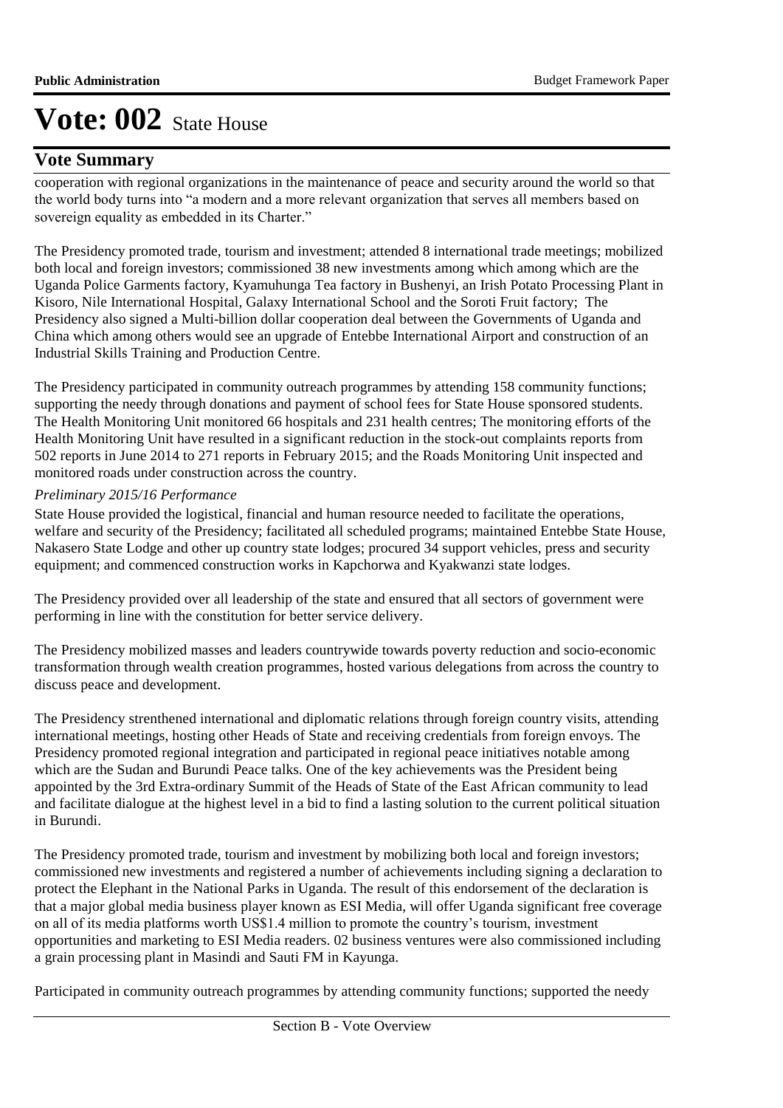# **Vote Summary**

cooperation with regional organizations in the maintenance of peace and security around the world so that the world body turns into "a modern and a more relevant organization that serves all members based on sovereign equality as embedded in its Charter."

The Presidency promoted trade, tourism and investment; attended 8 international trade meetings; mobilized both local and foreign investors; commissioned 38 new investments among which among which are the Uganda Police Garments factory, Kyamuhunga Tea factory in Bushenyi, an Irish Potato Processing Plant in Kisoro, Nile International Hospital, Galaxy International School and the Soroti Fruit factory; The Presidency also signed a Multi-billion dollar cooperation deal between the Governments of Uganda and China which among others would see an upgrade of Entebbe International Airport and construction of an Industrial Skills Training and Production Centre.

The Presidency participated in community outreach programmes by attending 158 community functions; supporting the needy through donations and payment of school fees for State House sponsored students. The Health Monitoring Unit monitored 66 hospitals and 231 health centres; The monitoring efforts of the Health Monitoring Unit have resulted in a significant reduction in the stock-out complaints reports from 502 reports in June 2014 to 271 reports in February 2015; and the Roads Monitoring Unit inspected and monitored roads under construction across the country.

## *Preliminary 2015/16 Performance*

State House provided the logistical, financial and human resource needed to facilitate the operations, welfare and security of the Presidency; facilitated all scheduled programs; maintained Entebbe State House, Nakasero State Lodge and other up country state lodges; procured 34 support vehicles, press and security equipment; and commenced construction works in Kapchorwa and Kyakwanzi state lodges.

The Presidency provided over all leadership of the state and ensured that all sectors of government were performing in line with the constitution for better service delivery.

The Presidency mobilized masses and leaders countrywide towards poverty reduction and socio-economic transformation through wealth creation programmes, hosted various delegations from across the country to discuss peace and development.

The Presidency strenthened international and diplomatic relations through foreign country visits, attending international meetings, hosting other Heads of State and receiving credentials from foreign envoys. The Presidency promoted regional integration and participated in regional peace initiatives notable among which are the Sudan and Burundi Peace talks. One of the key achievements was the President being appointed by the 3rd Extra-ordinary Summit of the Heads of State of the East African community to lead and facilitate dialogue at the highest level in a bid to find a lasting solution to the current political situation in Burundi.

The Presidency promoted trade, tourism and investment by mobilizing both local and foreign investors; commissioned new investments and registered a number of achievements including signing a declaration to protect the Elephant in the National Parks in Uganda. The result of this endorsement of the declaration is that a major global media business player known as ESI Media, will offer Uganda significant free coverage on all of its media platforms worth US\$1.4 million to promote the country's tourism, investment opportunities and marketing to ESI Media readers. 02 business ventures were also commissioned including a grain processing plant in Masindi and Sauti FM in Kayunga.

Participated in community outreach programmes by attending community functions; supported the needy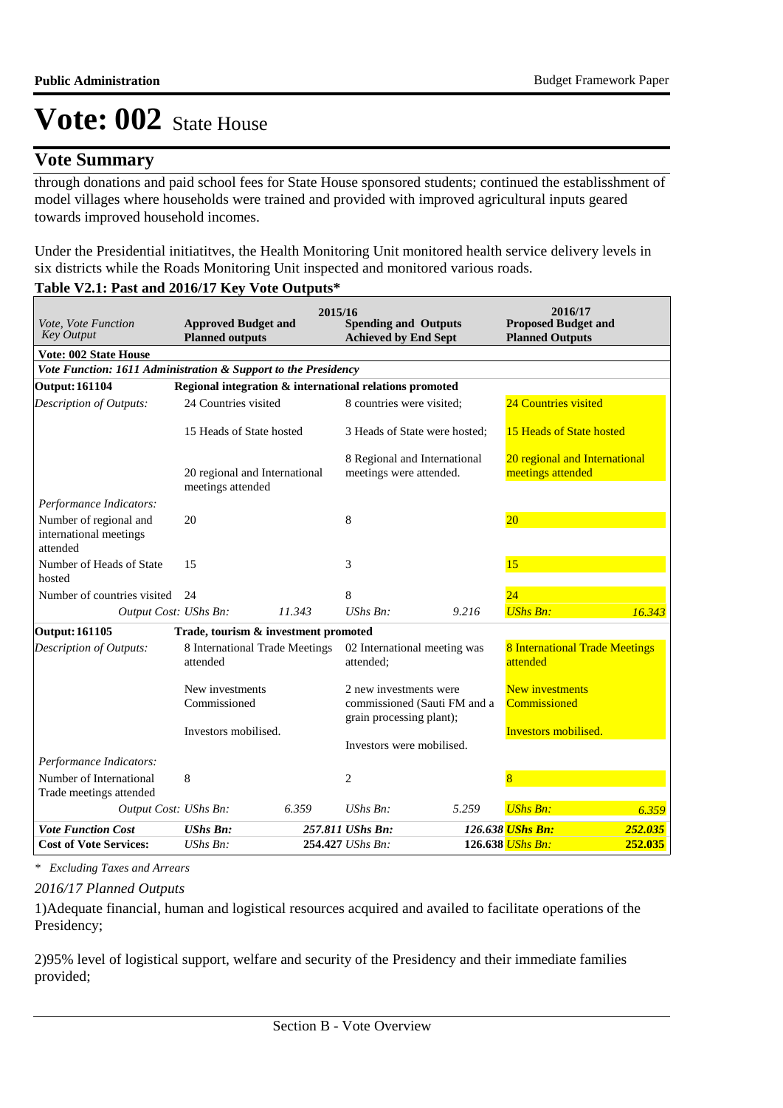# **Vote Summary**

through donations and paid school fees for State House sponsored students; continued the establisshment of model villages where households were trained and provided with improved agricultural inputs geared towards improved household incomes.

Under the Presidential initiatitves, the Health Monitoring Unit monitored health service delivery levels in six districts while the Roads Monitoring Unit inspected and monitored various roads.

## **Table V2.1: Past and 2016/17 Key Vote Outputs\***

| Vote, Vote Function<br><b>Key Output</b>                       | <b>Approved Budget and</b><br><b>Planned outputs</b>    | 2015/16 | <b>Spending and Outputs</b><br><b>Achieved by End Sept</b> |                                                                              | 2016/17<br><b>Proposed Budget and</b><br><b>Planned Outputs</b> |                               |
|----------------------------------------------------------------|---------------------------------------------------------|---------|------------------------------------------------------------|------------------------------------------------------------------------------|-----------------------------------------------------------------|-------------------------------|
| Vote: 002 State House                                          |                                                         |         |                                                            |                                                                              |                                                                 |                               |
| Vote Function: 1611 Administration & Support to the Presidency |                                                         |         |                                                            |                                                                              |                                                                 |                               |
| <b>Output: 161104</b>                                          | Regional integration & international relations promoted |         |                                                            |                                                                              |                                                                 |                               |
| <b>Description of Outputs:</b>                                 | 24 Countries visited                                    |         | 8 countries were visited:                                  |                                                                              | 24 Countries visited                                            |                               |
|                                                                | 15 Heads of State hosted                                |         |                                                            | 3 Heads of State were hosted;                                                | 15 Heads of State hosted                                        |                               |
|                                                                | 20 regional and International<br>meetings attended      |         |                                                            | 8 Regional and International<br>meetings were attended.<br>meetings attended |                                                                 | 20 regional and International |
| Performance Indicators:                                        |                                                         |         |                                                            |                                                                              |                                                                 |                               |
| Number of regional and<br>international meetings<br>attended   | 20                                                      |         | 8                                                          |                                                                              | 20                                                              |                               |
| Number of Heads of State<br>hosted                             | 15                                                      |         | 3                                                          |                                                                              | 15                                                              |                               |
| Number of countries visited                                    | 24                                                      |         | 8                                                          |                                                                              | 24                                                              |                               |
| Output Cost: UShs Bn:                                          |                                                         | 11.343  | $UShs Bn$ :                                                | 9.216                                                                        | <b>UShs Bn:</b>                                                 | 16.343                        |
| <b>Output: 161105</b>                                          | Trade, tourism & investment promoted                    |         |                                                            |                                                                              |                                                                 |                               |
| <b>Description of Outputs:</b>                                 | 8 International Trade Meetings<br>attended              |         | attended:                                                  | 02 International meeting was                                                 | <b>8 International Trade Meetings</b><br>attended               |                               |
|                                                                | New investments                                         |         | 2 new investments were                                     |                                                                              | <b>New investments</b>                                          |                               |
|                                                                | Commissioned                                            |         | grain processing plant);                                   | commissioned (Sauti FM and a                                                 | Commissioned                                                    |                               |
|                                                                | Investors mobilised.                                    |         |                                                            |                                                                              | <b>Investors mobilised.</b>                                     |                               |
|                                                                |                                                         |         | Investors were mobilised.                                  |                                                                              |                                                                 |                               |
| Performance Indicators:                                        |                                                         |         |                                                            |                                                                              |                                                                 |                               |
| Number of International<br>Trade meetings attended             | 8                                                       |         | 2                                                          |                                                                              | $\overline{8}$                                                  |                               |
| Output Cost: UShs Bn:                                          |                                                         | 6.359   | $UShs Bn$ :                                                | 5.259                                                                        | <b>UShs Bn:</b>                                                 | 6.359                         |
| <b>Vote Function Cost</b>                                      | <b>UShs Bn:</b>                                         |         | 257.811 UShs Bn:                                           |                                                                              | 126.638 UShs Bn:                                                | 252.035                       |
| <b>Cost of Vote Services:</b>                                  | $UShs Bn$ :                                             |         | 254.427 UShs Bn:                                           |                                                                              | $126.638$ UShs Bn:                                              | 252.035                       |

*\* Excluding Taxes and Arrears*

## *2016/17 Planned Outputs*

1) Adequate financial, human and logistical resources acquired and availed to facilitate operations of the Presidency;

2)95% level of logistical support, welfare and security of the Presidency and their immediate families provided;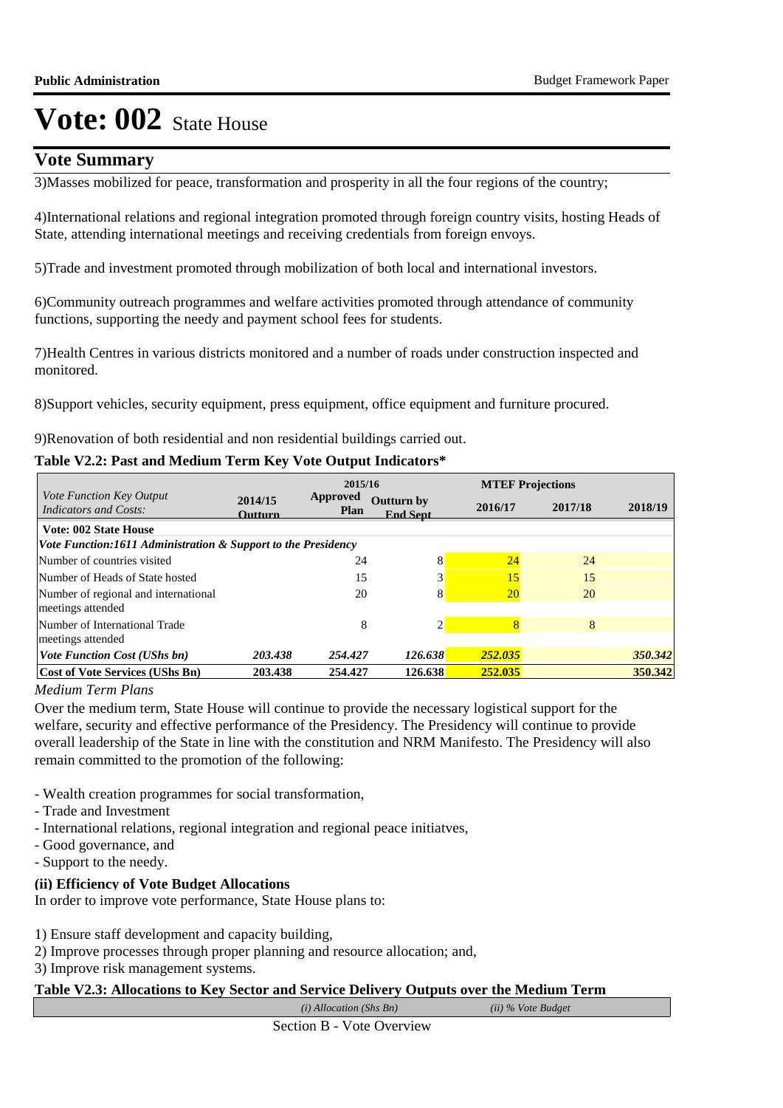# **Vote Summary**

3) Masses mobilized for peace, transformation and prosperity in all the four regions of the country;

4) International relations and regional integration promoted through foreign country visits, hosting Heads of State, attending international meetings and receiving credentials from foreign envoys.

5) Trade and investment promoted through mobilization of both local and international investors.

6) Community outreach programmes and welfare activities promoted through attendance of community functions, supporting the needy and payment school fees for students.

7) Health Centres in various districts monitored and a number of roads under construction inspected and monitored.

8) Support vehicles, security equipment, press equipment, office equipment and furniture procured.

9) Renovation of both residential and non residential buildings carried out.

## **Table V2.2: Past and Medium Term Key Vote Output Indicators\***

|                                                                 | 2015/16                   |                         |                                       | <b>MTEF Projections</b> |         |         |
|-----------------------------------------------------------------|---------------------------|-------------------------|---------------------------------------|-------------------------|---------|---------|
| <i>Vote Function Key Output</i><br><b>Indicators and Costs:</b> | 2014/15<br><b>Outturn</b> | Approved<br><b>Plan</b> | <b>Outturn by</b><br><b>End Sept.</b> | 2016/17                 | 2017/18 | 2018/19 |
| <b>Vote: 002 State House</b>                                    |                           |                         |                                       |                         |         |         |
| Vote Function:1611 Administration & Support to the Presidency   |                           |                         |                                       |                         |         |         |
| Number of countries visited                                     |                           | 24                      | 8                                     | 24                      | 24      |         |
| Number of Heads of State hosted                                 |                           | 15                      | 3                                     | 15                      | 15      |         |
| Number of regional and international                            |                           | 20                      | 8                                     | <b>20</b>               | 20      |         |
| meetings attended                                               |                           |                         |                                       |                         |         |         |
| Number of International Trade                                   |                           | 8                       |                                       |                         | 8       |         |
| meetings attended                                               |                           |                         |                                       |                         |         |         |
| <b>Vote Function Cost (UShs bn)</b>                             | 203.438                   | 254.427                 | 126.638                               | 252.035                 |         | 350.342 |
| Cost of Vote Services (UShs Bn)                                 | 203.438                   | 254.427                 | 126.638                               | 252.035                 |         | 350.342 |

*Medium Term Plans*

Over the medium term, State House will continue to provide the necessary logistical support for the welfare, security and effective performance of the Presidency. The Presidency will continue to provide overall leadership of the State in line with the constitution and NRM Manifesto. The Presidency will also remain committed to the promotion of the following:

- Wealth creation programmes for social transformation,
- Trade and Investment
- International relations, regional integration and regional peace initiatves,
- Good governance, and
- Support to the needy.

## **(ii) Efficiency of Vote Budget Allocations**

In order to improve vote performance, State House plans to:

1) Ensure staff development and capacity building,

- 2) Improve processes through proper planning and resource allocation; and,
- 3) Improve risk management systems.

## **Table V2.3: Allocations to Key Sector and Service Delivery Outputs over the Medium Term**

*(i) Allocation (Shs Bn) (ii) % Vote Budget*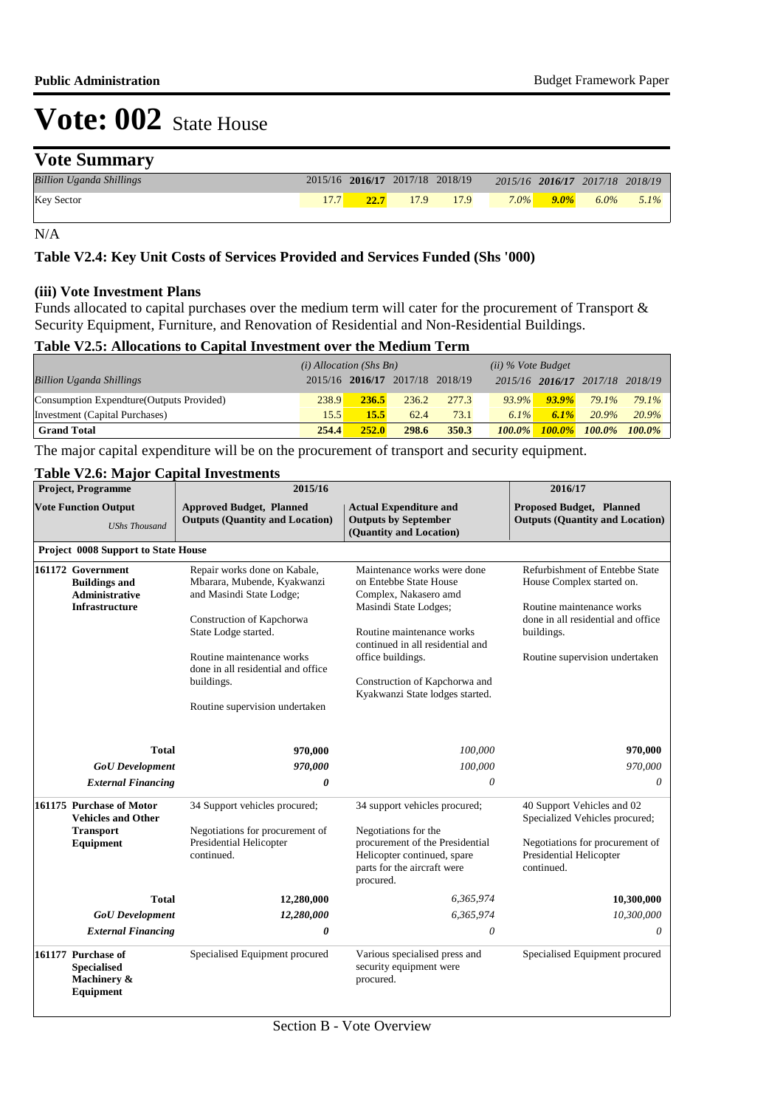# **Vote Summary**

| <b>Billion Uganda Shillings</b> |      | 2015/16 2016/17 2017/18 2018/19 |      |         |         | 2015/16 2016/17 2017/18 2018/19 |         |
|---------------------------------|------|---------------------------------|------|---------|---------|---------------------------------|---------|
| <b>Key Sector</b>               | 22.7 | 17.9                            | 17.9 | $7.0\%$ | $9.0\%$ | $6.0\%$                         | $5.1\%$ |

N/A

#### **Table V2.4: Key Unit Costs of Services Provided and Services Funded (Shs '000)**

#### **(iii) Vote Investment Plans**

Funds allocated to capital purchases over the medium term will cater for the procurement of Transport & Security Equipment, Furniture, and Renovation of Residential and Non-Residential Buildings.

### **Table V2.5: Allocations to Capital Investment over the Medium Term**

|                                           | $(i)$ Allocation (Shs Bn) |       |                                 | $(ii)$ % Vote Budget |           |           |                                 |           |
|-------------------------------------------|---------------------------|-------|---------------------------------|----------------------|-----------|-----------|---------------------------------|-----------|
| <b>Billion Uganda Shillings</b>           |                           |       | 2015/16 2016/17 2017/18 2018/19 |                      |           |           | 2015/16 2016/17 2017/18 2018/19 |           |
| Consumption Expendture (Outputs Provided) | 238.9                     | 236.5 | 236.2                           | 277.3                | $93.9\%$  | $93.9\%$  | 79.1%                           | 79.1%     |
| Investment (Capital Purchases)            | 15.5                      | 15.5  | 62.4                            | 73.1                 | $6.1\%$   | $6.1\%$   | 20.9%                           | 20.9%     |
| <b>Grand Total</b>                        | 254.4                     | 252.0 | 298.6                           | 350.3                | $100.0\%$ | $100.0\%$ | $100.0\%$                       | $100.0\%$ |

The major capital expenditure will be on the procurement of transport and security equipment.

## **Table V2.6: Major Capital Investments**

| <b>Project, Programme</b><br><b>Vote Function Output</b><br><b>UShs Thousand</b> |                                                                                             | 2015/16                                                                                                                                                                                                                                                                          |                                                                                                                                                                                                                                                                   | 2016/17                                                                                                                                                                        |
|----------------------------------------------------------------------------------|---------------------------------------------------------------------------------------------|----------------------------------------------------------------------------------------------------------------------------------------------------------------------------------------------------------------------------------------------------------------------------------|-------------------------------------------------------------------------------------------------------------------------------------------------------------------------------------------------------------------------------------------------------------------|--------------------------------------------------------------------------------------------------------------------------------------------------------------------------------|
|                                                                                  |                                                                                             | <b>Approved Budget, Planned</b><br><b>Outputs (Quantity and Location)</b>                                                                                                                                                                                                        | <b>Proposed Budget, Planned</b><br><b>Outputs (Quantity and Location)</b>                                                                                                                                                                                         |                                                                                                                                                                                |
|                                                                                  | <b>Project 0008 Support to State House</b>                                                  |                                                                                                                                                                                                                                                                                  |                                                                                                                                                                                                                                                                   |                                                                                                                                                                                |
|                                                                                  | 161172 Government<br><b>Buildings and</b><br><b>Administrative</b><br><b>Infrastructure</b> | Repair works done on Kabale,<br>Mbarara, Mubende, Kyakwanzi<br>and Masindi State Lodge;<br>Construction of Kapchorwa<br>State Lodge started.<br>Routine maintenance works<br>done in all residential and office<br>buildings.<br>Routine supervision undertaken                  | Maintenance works were done<br>on Entebbe State House<br>Complex, Nakasero amd<br>Masindi State Lodges;<br>Routine maintenance works<br>continued in all residential and<br>office buildings.<br>Construction of Kapchorwa and<br>Kyakwanzi State lodges started. | Refurbishment of Entebbe State<br>House Complex started on.<br>Routine maintenance works<br>done in all residential and office<br>buildings.<br>Routine supervision undertaken |
|                                                                                  | <b>Total</b>                                                                                | 970,000                                                                                                                                                                                                                                                                          | 100,000                                                                                                                                                                                                                                                           | 970,000                                                                                                                                                                        |
|                                                                                  | <b>GoU</b> Development                                                                      | 970,000                                                                                                                                                                                                                                                                          | 100,000                                                                                                                                                                                                                                                           | 970,000                                                                                                                                                                        |
|                                                                                  | <b>External Financing</b>                                                                   | 0                                                                                                                                                                                                                                                                                | 0                                                                                                                                                                                                                                                                 | 0                                                                                                                                                                              |
|                                                                                  | 161175 Purchase of Motor<br><b>Vehicles and Other</b><br><b>Transport</b><br>Equipment      | 34 Support vehicles procured;<br>34 support vehicles procured;<br>Negotiations for procurement of<br>Negotiations for the<br>Presidential Helicopter<br>procurement of the Presidential<br>Helicopter continued, spare<br>continued.<br>parts for the aircraft were<br>procured. |                                                                                                                                                                                                                                                                   | 40 Support Vehicles and 02<br>Specialized Vehicles procured;<br>Negotiations for procurement of<br>Presidential Helicopter<br>continued.                                       |
|                                                                                  | <b>Total</b>                                                                                | 12,280,000                                                                                                                                                                                                                                                                       | 6,365,974                                                                                                                                                                                                                                                         | 10,300,000                                                                                                                                                                     |
|                                                                                  | <b>GoU</b> Development                                                                      | 12,280,000                                                                                                                                                                                                                                                                       | 6,365,974                                                                                                                                                                                                                                                         | 10,300,000                                                                                                                                                                     |
|                                                                                  | <b>External Financing</b>                                                                   | 0                                                                                                                                                                                                                                                                                | 0                                                                                                                                                                                                                                                                 | 0                                                                                                                                                                              |
|                                                                                  | 161177 Purchase of<br><b>Specialised</b><br>Machinery &<br>Equipment                        | Specialised Equipment procured                                                                                                                                                                                                                                                   | Various specialised press and<br>security equipment were<br>procured.                                                                                                                                                                                             | Specialised Equipment procured                                                                                                                                                 |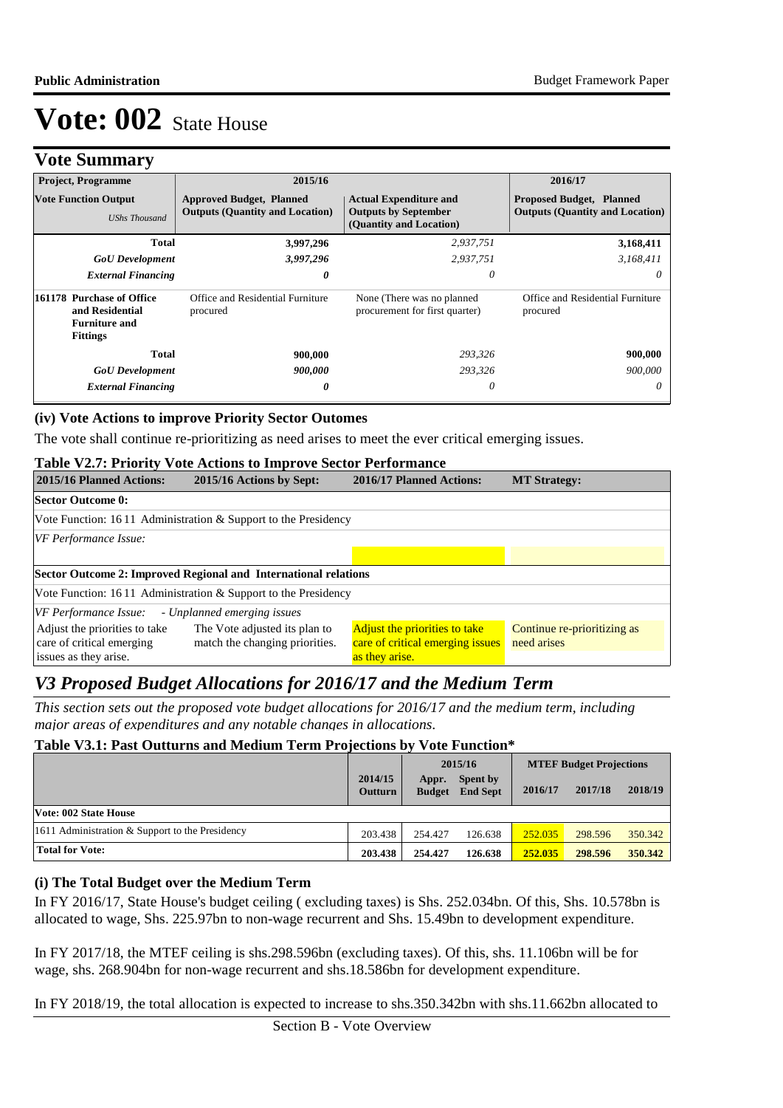|  | <b>Vote Summary</b> |
|--|---------------------|
|--|---------------------|

| $\bullet$<br><b>Project, Programme</b>                                                  | 2015/16                                                                   |                                                                                         | 2016/17                                                                   |
|-----------------------------------------------------------------------------------------|---------------------------------------------------------------------------|-----------------------------------------------------------------------------------------|---------------------------------------------------------------------------|
| <b>Vote Function Output</b><br><b>UShs Thousand</b>                                     | <b>Approved Budget, Planned</b><br><b>Outputs (Quantity and Location)</b> | <b>Actual Expenditure and</b><br><b>Outputs by September</b><br>(Quantity and Location) | <b>Proposed Budget, Planned</b><br><b>Outputs (Quantity and Location)</b> |
| Total                                                                                   | 3,997,296                                                                 | 2,937,751                                                                               | 3,168,411                                                                 |
| <b>GoU</b> Development                                                                  | 3,997,296                                                                 | 2,937,751                                                                               | 3,168,411                                                                 |
| <b>External Financing</b>                                                               | 0                                                                         | 0                                                                                       | 0                                                                         |
| 161178 Purchase of Office<br>and Residential<br><b>Furniture and</b><br><b>Fittings</b> | Office and Residential Furniture<br>procured                              | None (There was no planned<br>procurement for first quarter)                            | Office and Residential Furniture<br>procured                              |
| Total                                                                                   | 900,000                                                                   | 293,326                                                                                 | 900,000                                                                   |
| <b>GoU</b> Development                                                                  | 900,000                                                                   | 293,326                                                                                 | 900,000                                                                   |
| <b>External Financing</b>                                                               | 0                                                                         | 0                                                                                       | 0                                                                         |

#### **(iv) Vote Actions to improve Priority Sector Outomes**

The vote shall continue re-prioritizing as need arises to meet the ever critical emerging issues.

#### **Table V2.7: Priority Vote Actions to Improve Sector Performance**

| 2015/16 Planned Actions:                                   | 2015/16 Actions by Sept:                                         | 2016/17 Planned Actions:                                          | <b>MT Strategy:</b>                        |
|------------------------------------------------------------|------------------------------------------------------------------|-------------------------------------------------------------------|--------------------------------------------|
| <b>Sector Outcome 0:</b>                                   |                                                                  |                                                                   |                                            |
|                                                            | Vote Function: 16.11 Administration & Support to the Presidency  |                                                                   |                                            |
| <b>VF</b> Performance Issue:                               |                                                                  |                                                                   |                                            |
|                                                            |                                                                  |                                                                   |                                            |
|                                                            | Sector Outcome 2: Improved Regional and International relations  |                                                                   |                                            |
|                                                            | Vote Function: $1611$ Administration & Support to the Presidency |                                                                   |                                            |
| VF Performance Issue:                                      | - Unplanned emerging issues                                      |                                                                   |                                            |
| Adjust the priorities to take<br>care of critical emerging | The Vote adjusted its plan to<br>match the changing priorities.  | Adjust the priorities to take<br>care of critical emerging issues | Continue re-prioritizing as<br>need arises |
| issues as they arise.                                      |                                                                  | as they arise.                                                    |                                            |

# *V3 Proposed Budget Allocations for 2016/17 and the Medium Term*

*This section sets out the proposed vote budget allocations for 2016/17 and the medium term, including major areas of expenditures and any notable changes in allocations.* 

## **Table V3.1: Past Outturns and Medium Term Projections by Vote Function\***

|                                                 |                    | 2015/16                |                             | <b>MTEF Budget Projections</b> |         |         |
|-------------------------------------------------|--------------------|------------------------|-----------------------------|--------------------------------|---------|---------|
|                                                 | 2014/15<br>Outturn | Appr.<br><b>Budget</b> | Spent by<br><b>End Sept</b> | 2016/17                        | 2017/18 | 2018/19 |
| Vote: 002 State House                           |                    |                        |                             |                                |         |         |
| 1611 Administration & Support to the Presidency | 203.438            | 254.427                | 126.638                     | 252.035                        | 298.596 | 350.342 |
| <b>Total for Vote:</b>                          | 203.438            | 254.427                | 126.638                     | 252.035                        | 298.596 | 350.342 |

#### **(i) The Total Budget over the Medium Term**

In FY 2016/17, State House's budget ceiling ( excluding taxes) is Shs. 252.034bn. Of this, Shs. 10.578bn is allocated to wage, Shs. 225.97bn to non-wage recurrent and Shs. 15.49bn to development expenditure.

In FY 2017/18, the MTEF ceiling is shs.298.596bn (excluding taxes). Of this, shs. 11.106bn will be for wage, shs. 268.904bn for non-wage recurrent and shs.18.586bn for development expenditure.

In FY 2018/19, the total allocation is expected to increase to shs.350.342bn with shs.11.662bn allocated to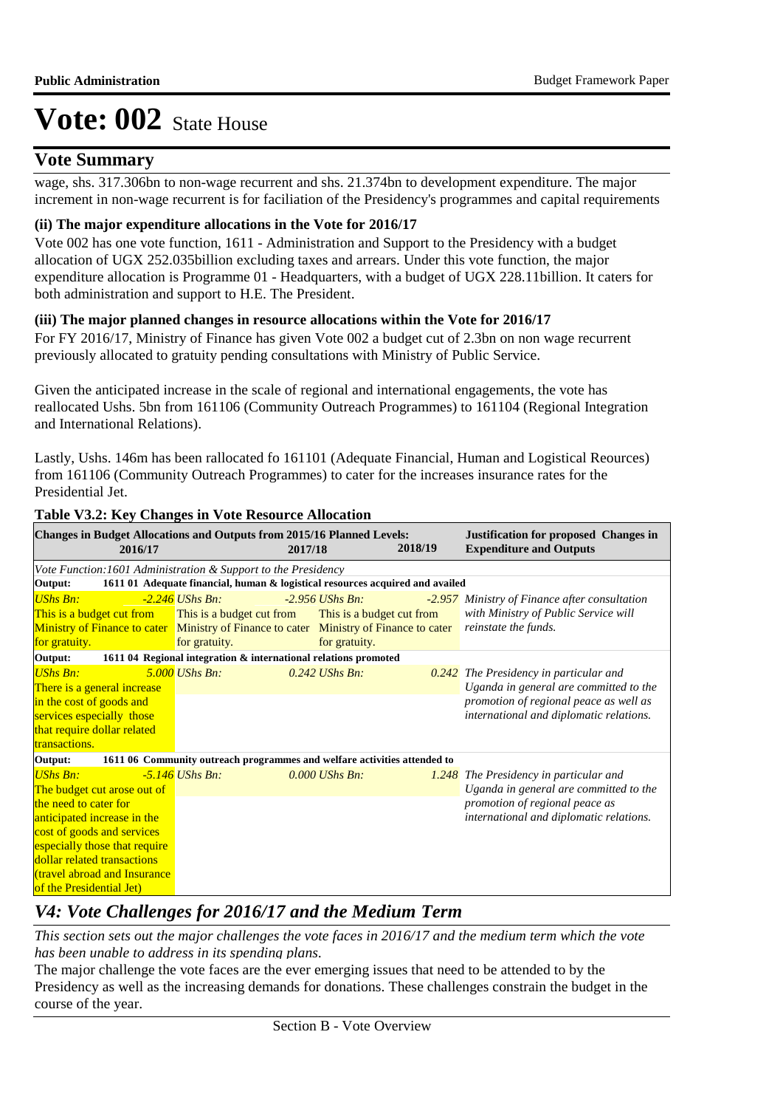# **Vote Summary**

wage, shs. 317.306bn to non-wage recurrent and shs. 21.374bn to development expenditure. The major increment in non-wage recurrent is for faciliation of the Presidency's programmes and capital requirements

## **(ii) The major expenditure allocations in the Vote for 2016/17**

Vote 002 has one vote function, 1611 - Administration and Support to the Presidency with a budget allocation of UGX 252.035billion excluding taxes and arrears. Under this vote function, the major expenditure allocation is Programme 01 - Headquarters, with a budget of UGX 228.11billion. It caters for both administration and support to H.E. The President.

## **(iii) The major planned changes in resource allocations within the Vote for 2016/17**

For FY 2016/17, Ministry of Finance has given Vote 002 a budget cut of 2.3bn on non wage recurrent previously allocated to gratuity pending consultations with Ministry of Public Service.

Given the anticipated increase in the scale of regional and international engagements, the vote has reallocated Ushs. 5bn from 161106 (Community Outreach Programmes) to 161104 (Regional Integration and International Relations).

Lastly, Ushs. 146m has been rallocated fo 161101 (Adequate Financial, Human and Logistical Reources) from 161106 (Community Outreach Programmes) to cater for the increases insurance rates for the Presidential Jet.

| <b>Changes in Budget Allocations and Outputs from 2015/16 Planned Levels:</b><br>2016/17 |                                                                               | 2017/18                   | 2018/19 | <b>Justification for proposed Changes in</b><br><b>Expenditure and Outputs</b> |
|------------------------------------------------------------------------------------------|-------------------------------------------------------------------------------|---------------------------|---------|--------------------------------------------------------------------------------|
| Vote Function: 1601 Administration & Support to the Presidency                           |                                                                               |                           |         |                                                                                |
| Output:                                                                                  | 1611 01 Adequate financial, human & logistical resources acquired and availed |                           |         |                                                                                |
| <b>UShs Bn:</b>                                                                          | -2.246 UShs Bn:                                                               | $-2.956$ UShs Bn:         |         | -2.957 Ministry of Finance after consultation                                  |
| This is a budget cut from                                                                | This is a budget cut from                                                     | This is a budget cut from |         | with Ministry of Public Service will                                           |
| Ministry of Finance to cater Ministry of Finance to cater Ministry of Finance to cater   |                                                                               |                           |         | reinstate the funds.                                                           |
| for gratuity.                                                                            | for gratuity.                                                                 | for gratuity.             |         |                                                                                |
| Output:                                                                                  | 1611 04 Regional integration & international relations promoted               |                           |         |                                                                                |
| <b>UShs Bn:</b>                                                                          | 5.000 UShs Bn:                                                                | $0.242$ UShs Bn:          |         | 0.242 The Presidency in particular and                                         |
| There is a general increase                                                              |                                                                               |                           |         | Uganda in general are committed to the                                         |
| in the cost of goods and                                                                 |                                                                               |                           |         | promotion of regional peace as well as                                         |
| services especially those                                                                |                                                                               |                           |         | international and diplomatic relations.                                        |
| that require dollar related                                                              |                                                                               |                           |         |                                                                                |
| transactions.                                                                            |                                                                               |                           |         |                                                                                |
| Output:                                                                                  | 1611 06 Community outreach programmes and welfare activities attended to      |                           |         |                                                                                |
| <b>UShs Bn:</b>                                                                          | $-5.146$ UShs Bn:                                                             | $0.000$ UShs Bn:          |         | 1.248 The Presidency in particular and                                         |
| The budget cut arose out of                                                              |                                                                               |                           |         | Uganda in general are committed to the                                         |
| the need to cater for                                                                    |                                                                               |                           |         | promotion of regional peace as                                                 |
| anticipated increase in the                                                              |                                                                               |                           |         | international and diplomatic relations.                                        |
| cost of goods and services                                                               |                                                                               |                           |         |                                                                                |
| especially those that require                                                            |                                                                               |                           |         |                                                                                |
| dollar related transactions                                                              |                                                                               |                           |         |                                                                                |
| (travel abroad and Insurance                                                             |                                                                               |                           |         |                                                                                |
| of the Presidential Jet)                                                                 |                                                                               |                           |         |                                                                                |

## **Table V3.2: Key Changes in Vote Resource Allocation**

# *V4: Vote Challenges for 2016/17 and the Medium Term*

*This section sets out the major challenges the vote faces in 2016/17 and the medium term which the vote has been unable to address in its spending plans.*

The major challenge the vote faces are the ever emerging issues that need to be attended to by the Presidency as well as the increasing demands for donations. These challenges constrain the budget in the course of the year.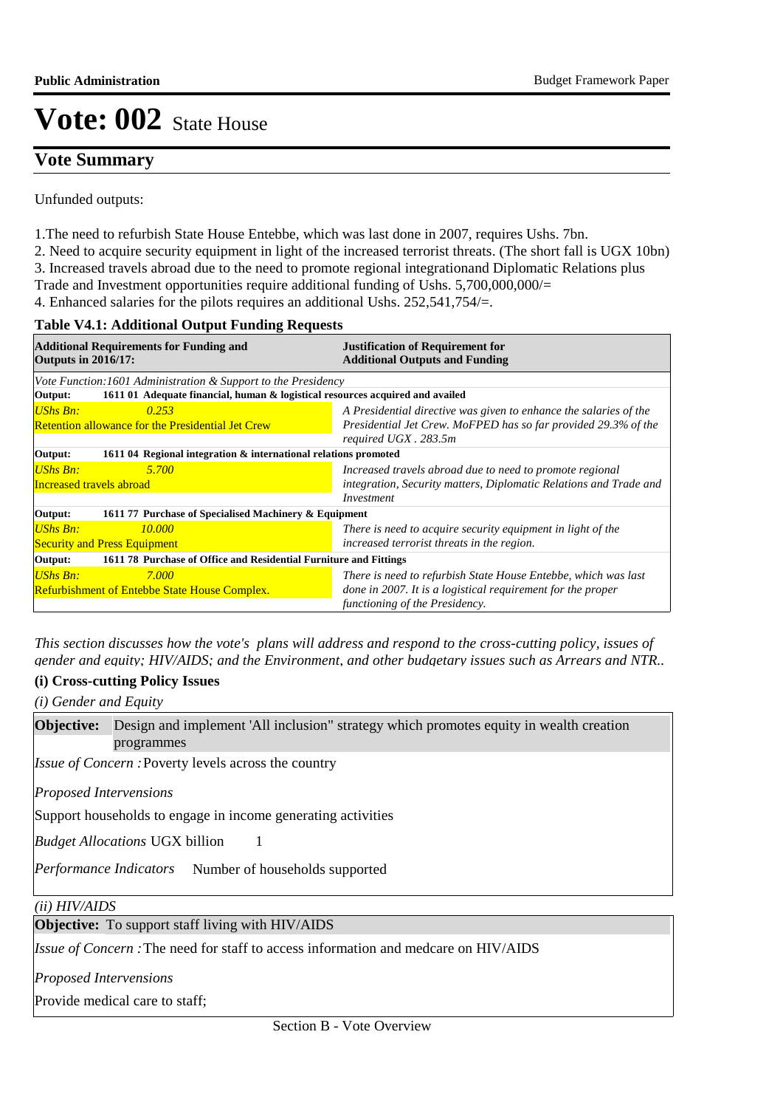# **Vote Summary**

Unfunded outputs:

- 1. The need to refurbish State House Entebbe, which was last done in 2007, requires Ushs. 7bn.
- 2. Need to acquire security equipment in light of the increased terrorist threats. (The short fall is UGX 10bn)
- 3. Increased travels abroad due to the need to promote regional integrationand Diplomatic Relations plus
- Trade and Investment opportunities require additional funding of Ushs. 5,700,000,000/=
- 4. Enhanced salaries for the pilots requires an additional Ushs. 252,541,754/=.

#### **Table V4.1: Additional Output Funding Requests**

| <b>Additional Requirements for Funding and</b><br><b>Outputs in 2016/17:</b>             | <b>Justification of Requirement for</b><br><b>Additional Outputs and Funding</b>                                                                                |
|------------------------------------------------------------------------------------------|-----------------------------------------------------------------------------------------------------------------------------------------------------------------|
| Vote Function:1601 Administration & Support to the Presidency                            |                                                                                                                                                                 |
| 1611 01 Adequate financial, human & logistical resources acquired and availed<br>Output: |                                                                                                                                                                 |
| UShs Bn:<br>0.253<br><b>Retention allowance for the Presidential Jet Crew</b>            | A Presidential directive was given to enhance the salaries of the<br>Presidential Jet Crew. MoFPED has so far provided 29.3% of the<br>required UGX . 283.5m    |
| 1611 04 Regional integration & international relations promoted<br>Output:               |                                                                                                                                                                 |
| UShs Bn:<br>5.700<br>Increased travels abroad                                            | Increased travels abroad due to need to promote regional<br>integration, Security matters, Diplomatic Relations and Trade and<br>Investment                     |
| 1611 77 Purchase of Specialised Machinery & Equipment<br>Output:                         |                                                                                                                                                                 |
| <b>UShs Bn:</b><br>10.000<br><b>Security and Press Equipment</b>                         | There is need to acquire security equipment in light of the<br>increased terrorist threats in the region.                                                       |
| Output:<br>1611 78 Purchase of Office and Residential Furniture and Fittings             |                                                                                                                                                                 |
| $UShs Bn:$<br>7.000<br><b>Refurbishment of Entebbe State House Complex.</b>              | There is need to refurbish State House Entebbe, which was last<br>done in 2007. It is a logistical requirement for the proper<br>functioning of the Presidency. |

*This section discusses how the vote's plans will address and respond to the cross-cutting policy, issues of gender and equity; HIV/AIDS; and the Environment, and other budgetary issues such as Arrears and NTR..* 

## **(i) Cross-cutting Policy Issues**

*(i) Gender and Equity*

**Objective:** Design and implement 'All inclusion" strategy which promotes equity in wealth creation programmes

Issue of Concern : Poverty levels across the country

*Proposed Intervensions* 

Support households to engage in income generating activities

1

*Budget Allocations*  UGX billion

Performance Indicators Number of households supported

*(ii) HIV/AIDS*

**Objective:** To support staff living with HIV/AIDS

Issue of Concern : The need for staff to access information and medcare on HIV/AIDS

*Proposed Intervensions* 

Provide medical care to staff;